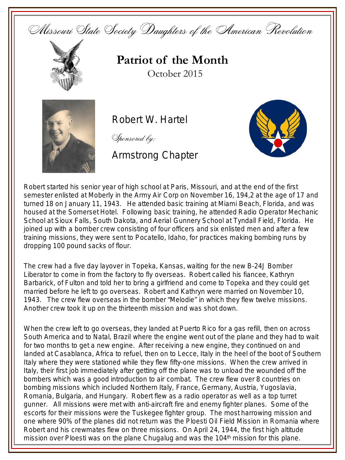Missouri State Society Daughters of the American Revolution



**Patriot of the Month** October 2015



Robert W. Hartel

Sponsored by:

Armstrong Chapter



Robert started his senior year of high school at Paris, Missouri, and at the end of the first semester enlisted at Moberly in the Army Air Corp on November 16, 194,2 at the age of 17 and turned 18 on January 11, 1943. He attended basic training at Miami Beach, Florida, and was housed at the Somerset Hotel. Following basic training, he attended Radio Operator Mechanic School at Sioux Falls, South Dakota, and Aerial Gunnery School at Tyndall Field, Florida. He joined up with a bomber crew consisting of four officers and six enlisted men and after a few training missions, they were sent to Pocatello, Idaho, for practices making bombing runs by dropping 100 pound sacks of flour.

The crew had a five day layover in Topeka, Kansas, waiting for the new B-24J Bomber Liberator to come in from the factory to fly overseas. Robert called his fiancee, Kathryn Barbarick, of Fulton and told her to bring a girlfriend and come to Topeka and they could get married before he left to go overseas. Robert and Kathryn were married on November 10, 1943. The crew flew overseas in the bomber "Melodie" in which they flew twelve missions. Another crew took it up on the thirteenth mission and was shot down.

When the crew left to go overseas, they landed at Puerto Rico for a gas refill, then on across South America and to Natal, Brazil where the engine went out of the plane and they had to wait for two months to get a new engine. After receiving a new engine, they continued on and landed at Casablanca, Africa to refuel, then on to Lecce, Italy in the heel of the boot of Southern Italy where they were stationed while they flew fifty-one missions. When the crew arrived in Italy, their first job immediately after getting off the plane was to unload the wounded off the bombers which was a good introduction to air combat. The crew flew over 8 countries on bombing missions which included Northern Italy, France, Germany, Austria, Yugoslavia, Romania, Bulgaria, and Hungary. Robert flew as a radio operator as well as a top turret gunner. All missions were met with anti-aircraft fire and enemy fighter planes. Some of the escorts for their missions were the Tuskegee fighter group. The most harrowing mission and one where 90% of the planes did not return was the Ploesti Oil Field Mission in Romania where Robert and his crewmates flew on three missions. On April 24, 1944, the first high altitude mission over Ploesti was on the plane Chugalug and was the 104<sup>th</sup> mission for this plane.